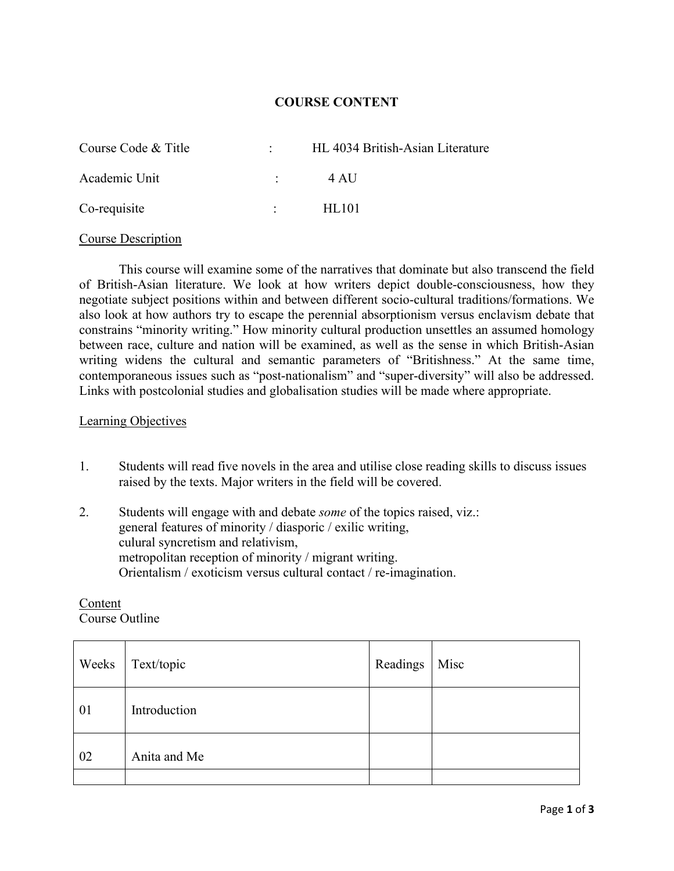## **COURSE CONTENT**

| Course Code & Title |                                 | HL 4034 British-Asian Literature |
|---------------------|---------------------------------|----------------------------------|
| Academic Unit       | <b>Contract Contract</b>        | 4 AU                             |
| Co-requisite        | $\mathcal{L}$ and $\mathcal{L}$ | HL101                            |

#### Course Description

This course will examine some of the narratives that dominate but also transcend the field of British-Asian literature. We look at how writers depict double-consciousness, how they negotiate subject positions within and between different socio-cultural traditions/formations. We also look at how authors try to escape the perennial absorptionism versus enclavism debate that constrains "minority writing." How minority cultural production unsettles an assumed homology between race, culture and nation will be examined, as well as the sense in which British-Asian writing widens the cultural and semantic parameters of "Britishness." At the same time, contemporaneous issues such as "post-nationalism" and "super-diversity" will also be addressed. Links with postcolonial studies and globalisation studies will be made where appropriate.

#### Learning Objectives

- 1. Students will read five novels in the area and utilise close reading skills to discuss issues raised by the texts. Major writers in the field will be covered.
- 2. Students will engage with and debate *some* of the topics raised, viz.: general features of minority / diasporic / exilic writing, culural syncretism and relativism, metropolitan reception of minority / migrant writing. Orientalism / exoticism versus cultural contact / re-imagination.

| Weeks | Text/topic   | Readings | Misc |
|-------|--------------|----------|------|
| 01    | Introduction |          |      |
| 02    | Anita and Me |          |      |
|       |              |          |      |

## Content Course Outline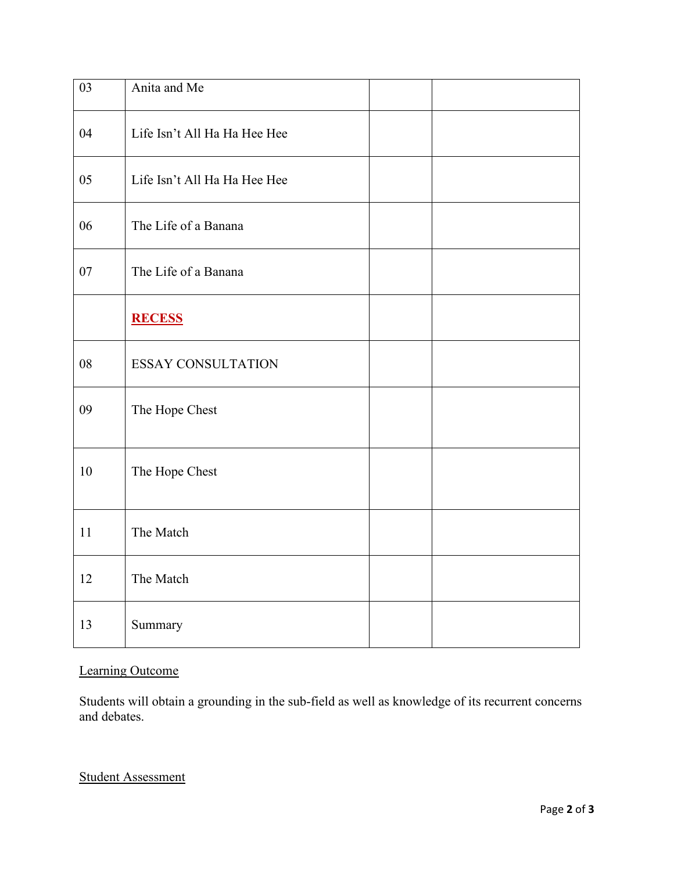| 03 | Anita and Me                 |  |
|----|------------------------------|--|
| 04 | Life Isn't All Ha Ha Hee Hee |  |
| 05 | Life Isn't All Ha Ha Hee Hee |  |
| 06 | The Life of a Banana         |  |
| 07 | The Life of a Banana         |  |
|    | <b>RECESS</b>                |  |
| 08 | <b>ESSAY CONSULTATION</b>    |  |
| 09 | The Hope Chest               |  |
| 10 | The Hope Chest               |  |
| 11 | The Match                    |  |
| 12 | The Match                    |  |
| 13 | Summary                      |  |

# Learning Outcome

Students will obtain a grounding in the sub-field as well as knowledge of its recurrent concerns and debates.

Student Assessment